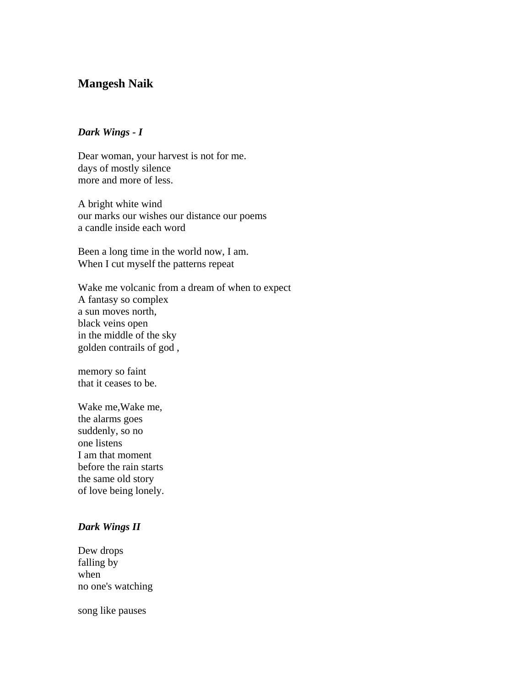## **Mangesh Naik**

## *Dark Wings - I*

Dear woman, your harvest is not for me. days of mostly silence more and more of less.

A bright white wind our marks our wishes our distance our poems a candle inside each word

Been a long time in the world now, I am. When I cut myself the patterns repeat

Wake me volcanic from a dream of when to expect A fantasy so complex a sun moves north, black veins open in the middle of the sky golden contrails of god ,

memory so faint that it ceases to be.

Wake me,Wake me, the alarms goes suddenly, so no one listens I am that moment before the rain starts the same old story of love being lonely.

## *Dark Wings II*

Dew drops falling by when no one's watching

song like pauses